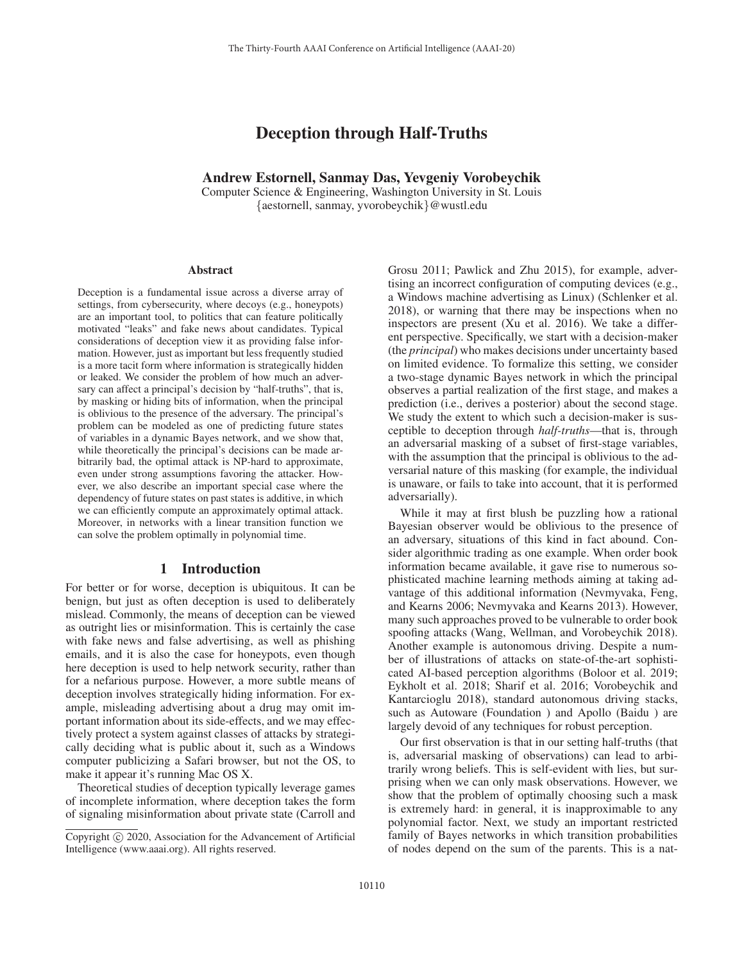# Deception through Half-Truths

### Andrew Estornell, Sanmay Das, Yevgeniy Vorobeychik

Computer Science & Engineering, Washington University in St. Louis {aestornell, sanmay, yvorobeychik}@wustl.edu

#### **Abstract**

Deception is a fundamental issue across a diverse array of settings, from cybersecurity, where decoys (e.g., honeypots) are an important tool, to politics that can feature politically motivated "leaks" and fake news about candidates. Typical considerations of deception view it as providing false information. However, just as important but less frequently studied is a more tacit form where information is strategically hidden or leaked. We consider the problem of how much an adversary can affect a principal's decision by "half-truths", that is, by masking or hiding bits of information, when the principal is oblivious to the presence of the adversary. The principal's problem can be modeled as one of predicting future states of variables in a dynamic Bayes network, and we show that, while theoretically the principal's decisions can be made arbitrarily bad, the optimal attack is NP-hard to approximate, even under strong assumptions favoring the attacker. However, we also describe an important special case where the dependency of future states on past states is additive, in which we can efficiently compute an approximately optimal attack. Moreover, in networks with a linear transition function we can solve the problem optimally in polynomial time.

#### 1 Introduction

For better or for worse, deception is ubiquitous. It can be benign, but just as often deception is used to deliberately mislead. Commonly, the means of deception can be viewed as outright lies or misinformation. This is certainly the case with fake news and false advertising, as well as phishing emails, and it is also the case for honeypots, even though here deception is used to help network security, rather than for a nefarious purpose. However, a more subtle means of deception involves strategically hiding information. For example, misleading advertising about a drug may omit important information about its side-effects, and we may effectively protect a system against classes of attacks by strategically deciding what is public about it, such as a Windows computer publicizing a Safari browser, but not the OS, to make it appear it's running Mac OS X.

Theoretical studies of deception typically leverage games of incomplete information, where deception takes the form of signaling misinformation about private state (Carroll and

Grosu 2011; Pawlick and Zhu 2015), for example, advertising an incorrect configuration of computing devices (e.g., a Windows machine advertising as Linux) (Schlenker et al. 2018), or warning that there may be inspections when no inspectors are present (Xu et al. 2016). We take a different perspective. Specifically, we start with a decision-maker (the *principal*) who makes decisions under uncertainty based on limited evidence. To formalize this setting, we consider a two-stage dynamic Bayes network in which the principal observes a partial realization of the first stage, and makes a prediction (i.e., derives a posterior) about the second stage. We study the extent to which such a decision-maker is susceptible to deception through *half-truths*—that is, through an adversarial masking of a subset of first-stage variables, with the assumption that the principal is oblivious to the adversarial nature of this masking (for example, the individual is unaware, or fails to take into account, that it is performed adversarially).

While it may at first blush be puzzling how a rational Bayesian observer would be oblivious to the presence of an adversary, situations of this kind in fact abound. Consider algorithmic trading as one example. When order book information became available, it gave rise to numerous sophisticated machine learning methods aiming at taking advantage of this additional information (Nevmyvaka, Feng, and Kearns 2006; Nevmyvaka and Kearns 2013). However, many such approaches proved to be vulnerable to order book spoofing attacks (Wang, Wellman, and Vorobeychik 2018). Another example is autonomous driving. Despite a number of illustrations of attacks on state-of-the-art sophisticated AI-based perception algorithms (Boloor et al. 2019; Eykholt et al. 2018; Sharif et al. 2016; Vorobeychik and Kantarcioglu 2018), standard autonomous driving stacks, such as Autoware (Foundation ) and Apollo (Baidu ) are largely devoid of any techniques for robust perception.

Our first observation is that in our setting half-truths (that is, adversarial masking of observations) can lead to arbitrarily wrong beliefs. This is self-evident with lies, but surprising when we can only mask observations. However, we show that the problem of optimally choosing such a mask is extremely hard: in general, it is inapproximable to any polynomial factor. Next, we study an important restricted family of Bayes networks in which transition probabilities of nodes depend on the sum of the parents. This is a nat-

Copyright  $\odot$  2020, Association for the Advancement of Artificial Intelligence (www.aaai.org). All rights reserved.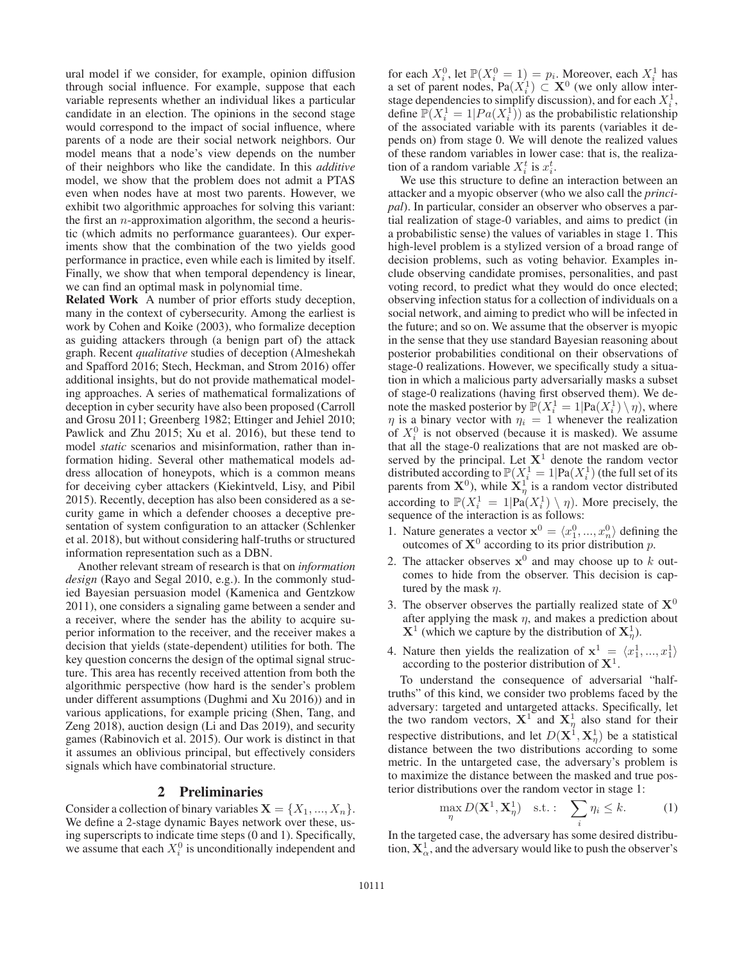ural model if we consider, for example, opinion diffusion through social influence. For example, suppose that each variable represents whether an individual likes a particular candidate in an election. The opinions in the second stage would correspond to the impact of social influence, where parents of a node are their social network neighbors. Our model means that a node's view depends on the number of their neighbors who like the candidate. In this *additive* model, we show that the problem does not admit a PTAS even when nodes have at most two parents. However, we exhibit two algorithmic approaches for solving this variant: the first an  $n$ -approximation algorithm, the second a heuristic (which admits no performance guarantees). Our experiments show that the combination of the two yields good performance in practice, even while each is limited by itself. Finally, we show that when temporal dependency is linear, we can find an optimal mask in polynomial time.

Related Work A number of prior efforts study deception, many in the context of cybersecurity. Among the earliest is work by Cohen and Koike (2003), who formalize deception as guiding attackers through (a benign part of) the attack graph. Recent *qualitative* studies of deception (Almeshekah and Spafford 2016; Stech, Heckman, and Strom 2016) offer additional insights, but do not provide mathematical modeling approaches. A series of mathematical formalizations of deception in cyber security have also been proposed (Carroll and Grosu 2011; Greenberg 1982; Ettinger and Jehiel 2010; Pawlick and Zhu 2015; Xu et al. 2016), but these tend to model *static* scenarios and misinformation, rather than information hiding. Several other mathematical models address allocation of honeypots, which is a common means for deceiving cyber attackers (Kiekintveld, Lisy, and Pibil 2015). Recently, deception has also been considered as a security game in which a defender chooses a deceptive presentation of system configuration to an attacker (Schlenker et al. 2018), but without considering half-truths or structured information representation such as a DBN.

Another relevant stream of research is that on *information design* (Rayo and Segal 2010, e.g.). In the commonly studied Bayesian persuasion model (Kamenica and Gentzkow 2011), one considers a signaling game between a sender and a receiver, where the sender has the ability to acquire superior information to the receiver, and the receiver makes a decision that yields (state-dependent) utilities for both. The key question concerns the design of the optimal signal structure. This area has recently received attention from both the algorithmic perspective (how hard is the sender's problem under different assumptions (Dughmi and Xu 2016)) and in various applications, for example pricing (Shen, Tang, and Zeng 2018), auction design (Li and Das 2019), and security games (Rabinovich et al. 2015). Our work is distinct in that it assumes an oblivious principal, but effectively considers signals which have combinatorial structure.

#### 2 Preliminaries

Consider a collection of binary variables  $X = \{X_1, ..., X_n\}.$ We define a 2-stage dynamic Bayes network over these, using superscripts to indicate time steps (0 and 1). Specifically, we assume that each  $X_i^0$  is unconditionally independent and

for each  $X_i^0$ , let  $\mathbb{P}(X_i^0 = 1) = p_i$ . Moreover, each  $X_i^1$  has a set of parent nodes  $Pa(X_i^1) \subset X^0$  (we only allow intera set of parent nodes,  $Pa(X_i^1) \subset \mathbf{X}^0$  (we only allow inter-<br>stage dependencies to simplify discussion) and for each  $X_i^1$ stage dependencies to simplify discussion), and for each  $X_i^1$ , define  $\mathbb{P}(X_i^1 = 1 | Pa(X_i^1))$  as the probabilistic relationship<br>of the associated variable with its parents (variables it deof the associated variable with its parents (variables it depends on) from stage 0. We will denote the realized values of these random variables in lower case: that is, the realization of a random variable  $X_i^t$  is  $x_i^t$ .

We use this structure to define an interaction between an attacker and a myopic observer (who we also call the *principal*). In particular, consider an observer who observes a partial realization of stage-0 variables, and aims to predict (in a probabilistic sense) the values of variables in stage 1. This high-level problem is a stylized version of a broad range of decision problems, such as voting behavior. Examples include observing candidate promises, personalities, and past voting record, to predict what they would do once elected; observing infection status for a collection of individuals on a social network, and aiming to predict who will be infected in the future; and so on. We assume that the observer is myopic in the sense that they use standard Bayesian reasoning about posterior probabilities conditional on their observations of stage-0 realizations. However, we specifically study a situation in which a malicious party adversarially masks a subset of stage-0 realizations (having first observed them). We denote the masked posterior by  $\mathbb{P}(X_i^1 = 1 | \text{Pa}(X_i^1) \setminus \eta)$ , where <br>*n* is a binary vector with  $n_i = 1$  whenever the realization  $\eta$  is a binary vector with  $\eta_i = 1$  whenever the realization of  $X_i^0$  is not observed (because it is masked). We assume that all the stage-0 realizations that are not masked are observed by the principal. Let  $X<sup>1</sup>$  denote the random vector distributed according to  $\mathbb{P}(X_i^1 = 1 | \text{Pa}(X_i^1))$  (the full set of its parents from  $\mathbf{X}^0$ ), while  $\mathbf{X}_{\eta}^1$  is a random vector distributed according to  $\mathbb{P}(X_i^1 = 1 | \text{Pa}(X_i^1) \setminus \eta)$ . More precisely, the sequence of the interaction is as follows: sequence of the interaction is as follows:

- 1. Nature generates a vector  $\mathbf{x}^0 = \langle x_1^0, ..., x_n^0 \rangle$  defining the outcomes of  $\mathbf{X}^0$  according to its prior distribution *n* outcomes of  $X^0$  according to its prior distribution p.
- 2. The attacker observes  $x^0$  and may choose up to k outcomes to hide from the observer. This decision is captured by the mask  $\eta$ .
- 3. The observer observes the partially realized state of  $X^0$ after applying the mask  $\eta$ , and makes a prediction about  $X^1$  (which we capture by the distribution of  $X^1_\eta$ ).
- 4. Nature then yields the realization of  $\mathbf{x}^1 = \langle x_1^1, ..., x_1^1 \rangle$ <br>according to the posterior distribution of  $\mathbf{X}^1$ according to the posterior distribution of **X**1.

To understand the consequence of adversarial "halftruths" of this kind, we consider two problems faced by the adversary: targeted and untargeted attacks. Specifically, let the two random vectors,  $X^1$  and  $X^1_\eta$  also stand for their respective distributions, and let  $D(\mathbf{X}^1, \mathbf{X}^1)$  be a statistical distance between the two distributions according to some distance between the two distributions according to some metric. In the untargeted case, the adversary's problem is to maximize the distance between the masked and true posterior distributions over the random vector in stage 1:

$$
\max_{\eta} D(\mathbf{X}^1, \mathbf{X}^1_{\eta}) \quad \text{s.t.}: \quad \sum_{i} \eta_i \le k. \tag{1}
$$

In the targeted case, the adversary has some desired distribution,  $\mathbf{X}_{\alpha}^1$ , and the adversary would like to push the observer's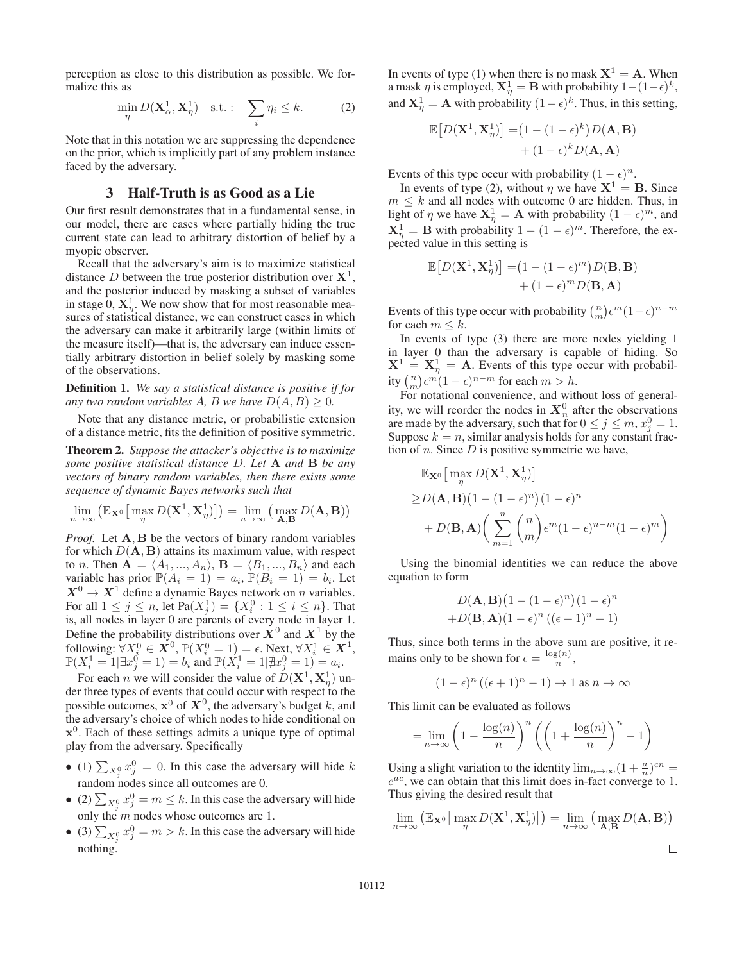perception as close to this distribution as possible. We formalize this as

$$
\min_{\eta} D(\mathbf{X}_{\alpha}^1, \mathbf{X}_{\eta}^1) \quad \text{s.t.}: \quad \sum_{i} \eta_i \le k. \tag{2}
$$

Note that in this notation we are suppressing the dependence on the prior, which is implicitly part of any problem instance faced by the adversary.

### 3 Half-Truth is as Good as a Lie

Our first result demonstrates that in a fundamental sense, in our model, there are cases where partially hiding the true current state can lead to arbitrary distortion of belief by a myopic observer.

Recall that the adversary's aim is to maximize statistical distance D between the true posterior distribution over  $X^1$ , and the posterior induced by masking a subset of variables in stage  $0, \mathbf{X}_{\eta}^1$ . We now show that for most reasonable measures of statistical distance, we can construct cases in which the adversary can make it arbitrarily large (within limits of the measure itself)—that is, the adversary can induce essentially arbitrary distortion in belief solely by masking some of the observations.

Definition 1. *We say a statistical distance is positive if for any two random variables* A, B *we have*  $D(A, B) \geq 0$ .

Note that any distance metric, or probabilistic extension of a distance metric, fits the definition of positive symmetric.

Theorem 2. *Suppose the attacker's objective is to maximize some positive statistical distance* D*. Let* **A** *and* **B** *be any vectors of binary random variables, then there exists some sequence of dynamic Bayes networks such that*

$$
\lim_{n \to \infty} (\mathbb{E}_{\mathbf{X}^0}[\max_{\eta} D(\mathbf{X}^1, \mathbf{X}_{\eta}^1)]) = \lim_{n \to \infty} (\max_{\mathbf{A}, \mathbf{B}} D(\mathbf{A}, \mathbf{B}))
$$

*Proof.* Let **A**, **B** be the vectors of binary random variables for which  $D(A, B)$  attains its maximum value, with respect to *n*. Then  $\mathbf{A} = \langle A_1, ..., A_n \rangle$ ,  $\mathbf{B} = \langle B_1, ..., B_n \rangle$  and each variable has prior  $\mathbb{P}(A_i = 1) = a_i$ ,  $\mathbb{P}(B_i = 1) = b_i$ . Let  $X^0 \to X^1$  define a dynamic Bayes network on *n* variables. For all  $1 \le j \le n$ , let  $Pa(X_j^1) = \{X_i^0 : 1 \le i \le n\}$ . That is all nodes in layer 0 are parents of every node in layer 1 is, all nodes in layer 0 are parents of every node in layer 1. Define the probability distributions over  $X^0$  and  $X^1$  by the following:  $\forall X_i^0 \in X^0$ ,  $\mathbb{P}(X_i^0 = 1) = \epsilon$ . Next,  $\forall X_i^1 \in X^1$ ,<br> $\mathbb{P}(X_i^1 = 1 | \exists x_i^0 = 1) = b_i$ , and  $\mathbb{P}(X_i^1 = 1 | \nexists x_i^0 = 1) = a_i$ .  $\mathbb{P}(X_i^1 = 1 | \exists x_i^0 = 1) = b_i$  and  $\mathbb{P}(X_i^1 = 1 | \nexists x_i^0 = 1) = a_i$ .<br>For each x we will consider the value of  $D(\mathbf{X}_i^1, \mathbf{X}_i^1)$ .

For each *n* we will consider the value of  $D(\mathbf{X}^1, \mathbf{X}^1)$  un-<br>r three types of events that could occur with respect to the der three types of events that could occur with respect to the possible outcomes,  $x^0$  of  $X^0$ , the adversary's budget k, and the adversary's choice of which nodes to hide conditional on **x**0. Each of these settings admits a unique type of optimal play from the adversary. Specifically

- (1)  $\sum_{X_1^0} x_2^0 = 0$ . In this case the adversary will hide k random nodes since all outcomes are 0.
- (2)  $\sum_{X_1^0} x_2^0 = m \le k$ . In this case the adversary will hide only the  $m$  nodes whose outcomes are 1.
- (3)  $\sum_{X_j^0} x_j^0 = m > k$ . In this case the adversary will hide nothing.

In events of type (1) when there is no mask  $X^1 = A$ . When a mask  $\eta$  is employed,  $\mathbf{X}_{\eta}^1 = \mathbf{B}$  with probability  $1 - (1 - \epsilon)^k$ ,<br>and  $\mathbf{Y}_{\eta}^1 = \mathbf{A}$  with probability  $(1 - \epsilon)^k$ . Thus, in this esting and  $X_{\eta}^1 = A$  with probability  $(1 - \epsilon)^k$ . Thus, in this setting,

$$
\mathbb{E}[D(\mathbf{X}^1, \mathbf{X}_\eta^1)] = (1 - (1 - \epsilon)^k)D(\mathbf{A}, \mathbf{B})
$$

$$
+ (1 - \epsilon)^k D(\mathbf{A}, \mathbf{A})
$$

Events of this type occur with probability  $(1 - \epsilon)^n$ .

In events of type (2), without  $\eta$  we have  $X^1 = B$ . Since  $m \leq k$  and all nodes with outcome 0 are hidden. Thus, in light of  $\eta$  we have  $\mathbf{X}_{\eta}^1 = \mathbf{A}$  with probability  $(1 - \epsilon)^m$ , and  $\mathbf{X}^1 = \mathbf{B}$  with probability  $(1 - \epsilon)^m$ . Therefore, the ex- $X_{\eta}^1 = B$  with probability  $1 - (1 - \epsilon)^m$ . Therefore, the ex-<br>pected value in this setting is pected value in this setting is

$$
\mathbb{E}\big[D(\mathbf{X}^1, \mathbf{X}_\eta^1)\big] = (1 - (1 - \epsilon)^m)D(\mathbf{B}, \mathbf{B}) + (1 - \epsilon)^m D(\mathbf{B}, \mathbf{A})
$$

Events of this type occur with probability  $\binom{n}{m} \epsilon^m (1-\epsilon)^{n-m}$ <br>for each  $m \leq k$ for each  $m \leq k$ .

In events of type (3) there are more nodes yielding 1 in layer 0 than the adversary is capable of hiding. So  $X^1 = X^1_{\eta} = A$ . Events of this type occur with probabil-<br> $X^1 = X^1_{\eta} = A$ . Events of this type occur with probability  $\binom{n}{m} \epsilon^m (1 - \epsilon)^{n-m}$  for each  $m > h$ .<br>For notational convenience and with

For notational convenience, and without loss of generality, we will reorder the nodes in  $X_n^0$  after the observations are made by the adversary, such that for  $0 \le j \le m$ ,  $x_j^0 = 1$ .<br>Suppose  $k = n$  similar analysis holds for any constant frac-Suppose  $k = n$ , similar analysis holds for any constant fraction of *n*. Since  $D$  is positive symmetric we have,

$$
\mathbb{E}_{\mathbf{X}^0} \Big[ \max_{\eta} D(\mathbf{X}^1, \mathbf{X}_{\eta}^1) \Big] \geq D(\mathbf{A}, \mathbf{B}) \big( 1 - (1 - \epsilon)^n \big) (1 - \epsilon)^n + D(\mathbf{B}, \mathbf{A}) \bigg( \sum_{m=1}^n {n \choose m} \epsilon^m (1 - \epsilon)^{n-m} (1 - \epsilon)^m \bigg)
$$

Using the binomial identities we can reduce the above equation to form

$$
D(\mathbf{A}, \mathbf{B})(1 - (1 - \epsilon)^n)(1 - \epsilon)^n
$$
  
+
$$
D(\mathbf{B}, \mathbf{A})(1 - \epsilon)^n ((\epsilon + 1)^n - 1)
$$

Thus, since both terms in the above sum are positive, it remains only to be shown for  $\epsilon = \frac{\log(n)}{n}$ ,

$$
(1 - \epsilon)^n ((\epsilon + 1)^n - 1) \to 1 \text{ as } n \to \infty
$$

This limit can be evaluated as follows

$$
= \lim_{n \to \infty} \left( 1 - \frac{\log(n)}{n} \right)^n \left( \left( 1 + \frac{\log(n)}{n} \right)^n - 1 \right)
$$

Using a slight variation to the identity  $\lim_{n\to\infty}(1+\frac{a}{n})^{cn} =$ <br> $e^{ac}$  we can obtain that this limit does in-fact converge to 1  $e^{ac}$ , we can obtain that this limit does in-fact converge to 1. Thus giving the desired result that

$$
\lim_{n \to \infty} (\mathbb{E}_{\mathbf{X}^0}[\max_{\eta} D(\mathbf{X}^1, \mathbf{X}^1_{\eta})]) = \lim_{n \to \infty} (\max_{\mathbf{A}, \mathbf{B}} D(\mathbf{A}, \mathbf{B}))
$$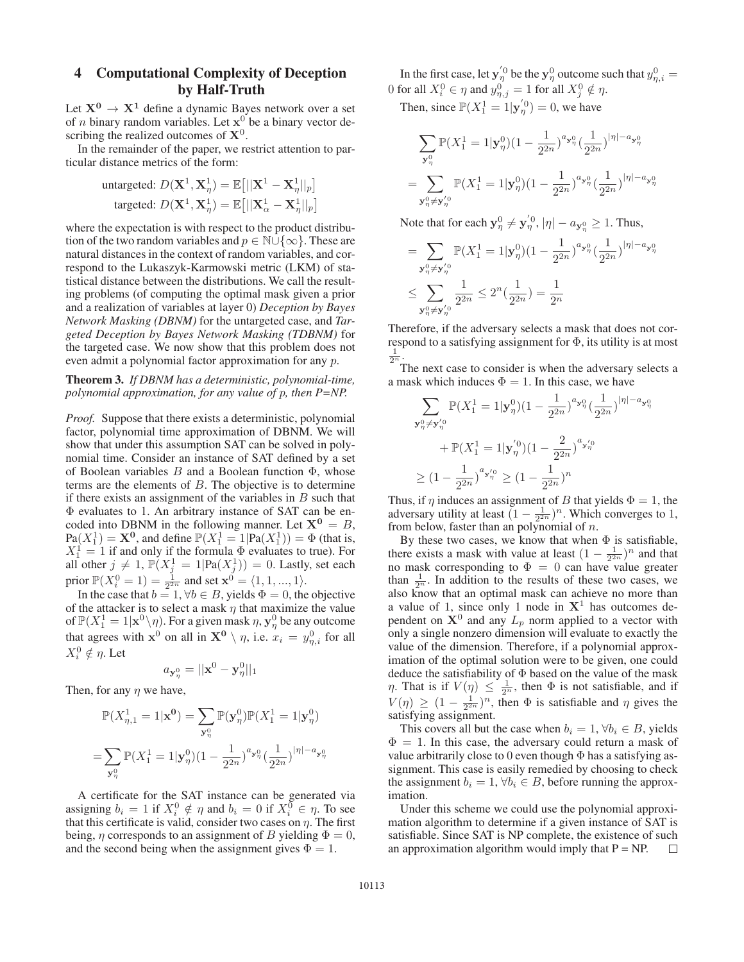## 4 Computational Complexity of Deception by Half-Truth

Let  $X^0 \rightarrow X^1$  define a dynamic Bayes network over a set of *n* binary random variables. Let  $x^0$  be a binary vector describing the realized outcomes of **X**0.

In the remainder of the paper, we restrict attention to particular distance metrics of the form:

untargeted: 
$$
D(\mathbf{X}^1, \mathbf{X}^1, \mathbf{X}^1) = \mathbb{E}\left[\|\mathbf{X}^1 - \mathbf{X}^1, \mathbf{X}^1, \mathbf{X}^1, \mathbf{X}^1, \mathbf{X}^1, \mathbf{X}^1, \mathbf{X}^1, \mathbf{X}^1, \mathbf{X}^1, \mathbf{X}^1, \mathbf{X}^1, \mathbf{X}^1, \mathbf{X}^1, \mathbf{X}^1, \mathbf{X}^1, \mathbf{X}^1, \mathbf{X}^1, \mathbf{X}^1, \mathbf{X}^1, \mathbf{X}^1, \mathbf{X}^1, \mathbf{X}^1, \mathbf{X}^1, \mathbf{X}^1, \mathbf{X}^1, \mathbf{X}^1, \mathbf{X}^1, \mathbf{X}^1, \mathbf{X}^1, \mathbf{X}^1, \mathbf{X}^1, \mathbf{X}^1, \mathbf{X}^1, \mathbf{X}^1, \mathbf{X}^1, \mathbf{X}^1, \mathbf{X}^1, \mathbf{X}^1, \mathbf{X}^1, \mathbf{X}^1, \mathbf{X}^1, \mathbf{X}^1, \mathbf{X}^1, \mathbf{X}^1, \mathbf{X}^1, \mathbf{X}^1, \mathbf{X}^1, \mathbf{X}^1, \mathbf{X}^1, \mathbf{X}^1, \mathbf{X}^1, \mathbf{X}^1, \mathbf{X}^1, \mathbf{X}^1, \mathbf{X}^1, \mathbf{X}^1, \mathbf{X}^1, \mathbf{X}^1, \mathbf{X}^1, \mathbf{X}^1, \mathbf{X}^1, \mathbf{X}^1, \mathbf{X}^1, \mathbf{X}^1, \mathbf{X}^1, \mathbf{X}^1, \mathbf{X}^1, \mathbf{X}^1, \mathbf{X}^1, \mathbf{X}^1, \mathbf{X}^1, \mathbf{X}^1, \mathbf{X}^1, \mathbf{X}^1, \mathbf{X}^1, \mathbf{X}^1, \mathbf{X}^1, \mathbf{X}^1, \mathbf{X}^1, \math
$$

where the expectation is with respect to the product distribution of the two random variables and  $p \in \mathbb{N} \cup \{\infty\}$ . These are natural distances in the context of random variables, and correspond to the Lukaszyk-Karmowski metric (LKM) of statistical distance between the distributions. We call the resulting problems (of computing the optimal mask given a prior and a realization of variables at layer 0) *Deception by Bayes Network Masking (DBNM)* for the untargeted case, and *Targeted Deception by Bayes Network Masking (TDBNM)* for the targeted case. We now show that this problem does not even admit a polynomial factor approximation for any p.

### Theorem 3. *If DBNM has a deterministic, polynomial-time, polynomial approximation, for any value of* p*, then P=NP.*

*Proof.* Suppose that there exists a deterministic, polynomial factor, polynomial time approximation of DBNM. We will show that under this assumption SAT can be solved in polynomial time. Consider an instance of SAT defined by a set of Boolean variables  $B$  and a Boolean function  $\Phi$ , whose terms are the elements of  $B$ . The objective is to determine if there exists an assignment of the variables in  $B$  such that Φ evaluates to 1. An arbitrary instance of SAT can be encoded into DBNM in the following manner. Let  $X^0 = B$ ,<br>Pa $(X_1^1) = X^0$ , and define  $\mathbb{P}(X_1^1 = 1 | Pa(X_1^1)) = \Phi$  (that is,  $\text{Pa}(X_1^1) = \mathbf{X}^0$ , and define  $\mathbb{P}(X_1^1 = 1 | \text{Pa}(X_1^1)) = \Phi$  (that is,  $X_1^1 = 1$  if and only if the formula  $\Phi$  evaluates to true). For all other  $i \neq 1$   $\mathbb{P}(X_1^1 = 1 | \text{Pa}(X_1^1)) = 0$  Lastly set each all other  $j \neq 1$ ,  $\mathbb{P}(X_j^1 = 1 | \text{Pa}(X_j^1)) = 0$ . Lastly, set each prior  $\mathbb{P}(X_i^0 = 1) = \frac{1}{2^{2n}}$  and set  $\mathbf{x}^0 = \langle 1, 1, ..., 1 \rangle$ .<br>In the case that  $b = 1$ ,  $\forall b \in B$ , yields  $\Phi = 0$ , the

In the case that  $b = 1, \forall b \in B$ , yields  $\Phi = 0$ , the objective the attacker is to select a mask *n* that maximize the value of the attacker is to select a mask  $\eta$  that maximize the value of  $\mathbb{P}(X_1^1 = 1 | \mathbf{x}^0 \setminus \eta)$ . For a given mask  $\eta$ ,  $\mathbf{y}_1^0$  be any outcome<br>that agrees with  $\mathbf{x}^0$  on all in  $\mathbf{X}^0 \setminus \eta$  i.e.  $\eta$ ,  $\eta$ ,  $\eta$  for all that agrees with  $\mathbf{x}^0$  on all in  $\mathbf{X}^0 \setminus \eta$ , i.e.  $x_i = y_{\eta,i}^0$  for all  $\mathbf{Y}^0 \notin \mathbb{R}$  Let  $X_i^0 \notin \eta$ . Let

$$
a_{\mathbf{y}_{\eta}^0} = ||\mathbf{x}^0 - \mathbf{y}_{\eta}^0||_1
$$

Then, for any  $\eta$  we have,

$$
\mathbb{P}(X_{\eta,1}^1 = 1 | \mathbf{x}^0) = \sum_{\mathbf{y}_{\eta}^0} \mathbb{P}(\mathbf{y}_{\eta}^0) \mathbb{P}(X_1^1 = 1 | \mathbf{y}_{\eta}^0)
$$
  
= 
$$
\sum_{\mathbf{y}_{\eta}^0} \mathbb{P}(X_1^1 = 1 | \mathbf{y}_{\eta}^0) (1 - \frac{1}{2^{2n}})^{a_{\mathbf{y}_{\eta}^0}} (\frac{1}{2^{2n}})^{|\eta| - a_{\mathbf{y}_{\eta}^0}}
$$

A certificate for the SAT instance can be generated via assigning  $b_i = 1$  if  $X_i^0 \notin \eta$  and  $b_i = 0$  if  $X_i^0 \in \eta$ . To see<br>that this certificate is valid consider two cases on *n*. The first that this certificate is valid, consider two cases on  $\eta$ . The first being,  $\eta$  corresponds to an assignment of B yielding  $\Phi = 0$ , and the second being when the assignment gives  $\Phi = 1$ .

In the first case, let  $\mathbf{y}_\eta^{(0)}$  be the  $\mathbf{y}_\eta^{(0)}$  outcome such that  $y_{\eta,i}^0 =$ <br>for all  $X^0 \subseteq \mathbb{R}$  and  $y_0^0 = 1$  for all  $X^0 \notin \mathbb{R}$ 0 for all  $X_i^0 \in \eta$  and  $y_{\eta,j}^0 = 1$  for all  $X_j^0 \notin \eta$ .

Then, since  $\mathbb{P}(X_1^1 = 1 | \mathbf{y}'_n^0) = 0$ , we have

$$
\sum_{\mathbf{y}_{\eta}^{0}} \mathbb{P}(X_{1}^{1} = 1 | \mathbf{y}_{\eta}^{0})(1 - \frac{1}{2^{2n}})^{a_{\mathbf{y}_{\eta}^{0}}}( \frac{1}{2^{2n}})^{|\eta| - a_{\mathbf{y}_{\eta}^{0}}}
$$

$$
= \sum_{\mathbf{y}_{\eta}^{0} \neq \mathbf{y}_{\eta}^{'0}} \mathbb{P}(X_{1}^{1} = 1 | \mathbf{y}_{\eta}^{0})(1 - \frac{1}{2^{2n}})^{a_{\mathbf{y}_{\eta}^{0}}}( \frac{1}{2^{2n}})^{|\eta| - a_{\mathbf{y}_{\eta}^{0}}}
$$

Note that for each  $y_{\eta}^0 \neq y_{\eta}^{'0}, |\eta| - a_{\mathbf{y}_{\eta}^0} \ge 1$ . Thus,

$$
= \sum_{\mathbf{y}_{\eta}^{0} \neq \mathbf{y}_{\eta}^{'0}} \mathbb{P}(X_{1}^{1} = 1 | \mathbf{y}_{\eta}^{0})(1 - \frac{1}{2^{2n}})^{a_{\mathbf{y}_{\eta}^{0}}}\left(\frac{1}{2^{2n}}\right)^{|\eta| - a_{\mathbf{y}_{\eta}^{0}}}
$$

$$
\leq \sum_{\mathbf{y}_{\eta}^{0} \neq \mathbf{y}_{\eta}^{'0}} \frac{1}{2^{2n}} \leq 2^{n}\left(\frac{1}{2^{2n}}\right) = \frac{1}{2^{n}}
$$

Therefore, if the adversary selects a mask that does not correspond to a satisfying assignment for  $\Phi$ , its utility is at most  $\frac{1}{2^n}$ .

The next case to consider is when the adversary selects a a mask which induces  $\Phi = 1$ . In this case, we have

$$
\sum_{\mathbf{y}_{\eta}^{0} \neq \mathbf{y}_{\eta}^{'0}} \mathbb{P}(X_{1}^{1} = 1 | \mathbf{y}_{\eta}^{0})(1 - \frac{1}{2^{2n}})^{a_{\mathbf{y}_{\eta}^{0}}}\left(\frac{1}{2^{2n}}\right)^{|\eta| - a_{\mathbf{y}_{\eta}^{0}}}
$$

$$
+ \mathbb{P}(X_{1}^{1} = 1 | \mathbf{y}_{\eta}^{'0})(1 - \frac{2}{2^{2n}})^{a_{\mathbf{y}_{\eta}^{'0}}}
$$

$$
\geq (1 - \frac{1}{2^{2n}})^{a_{\mathbf{y}_{\eta}^{'0}}} \geq (1 - \frac{1}{2^{2n}})^{n}
$$
if *n* induces an assignment of *R* that yields  $\Phi -$ 

Thus, if  $\eta$  induces an assignment of B that yields  $\Phi = 1$ , the adversary utility at least  $(1 - \frac{1}{\epsilon})^n$ . Which converges to 1 adversary utility at least  $(1 - \frac{1}{2^{2n}})^n$ . Which converges to 1, from below, faster than an polynomial of *n*. from below, faster than an polynomial of  $n$ .

By these two cases, we know that when  $\Phi$  is satisfiable, there exists a mask with value at least  $(1 - \frac{1}{2^{2n}})^n$  and that no mask corresponding to  $\Phi = 0$  can have value greater no mask corresponding to  $\Phi = 0$  can have value greater than  $\frac{1}{2^n}$ . In addition to the results of these two cases, we also know that an optimal mask can achieve no more than also know that an optimal mask can achieve no more than a value of 1, since only 1 node in  $X<sup>1</sup>$  has outcomes dependent on  $X^0$  and any  $L_p$  norm applied to a vector with only a single nonzero dimension will evaluate to exactly the value of the dimension. Therefore, if a polynomial approximation of the optimal solution were to be given, one could deduce the satisfiability of  $\Phi$  based on the value of the mask  $\eta$ . That is if  $V(\eta) \leq \frac{1}{2^n}$ , then  $\Phi$  is not satisfiable, and if  $V(\eta) > (1 - 1)^n$  then  $\Phi$  is satisfiable and *n* gives the  $V(\eta) \ge (1 - \frac{1}{2^{2n}})^n$ , then  $\Phi$  is satisfiable and  $\eta$  gives the satisfying assignment. satisfying assignment.

This covers all but the case when  $b_i = 1, \forall b_i \in B$ , yields  $\Phi = 1$ . In this case, the adversary could return a mask of value arbitrarily close to  $0$  even though  $\Phi$  has a satisfying assignment. This case is easily remedied by choosing to check the assignment  $b_i = 1, \forall b_i \in B$ , before running the approximation.

Under this scheme we could use the polynomial approximation algorithm to determine if a given instance of SAT is satisfiable. Since SAT is NP complete, the existence of such an approximation algorithm would imply that  $P = NP$ . П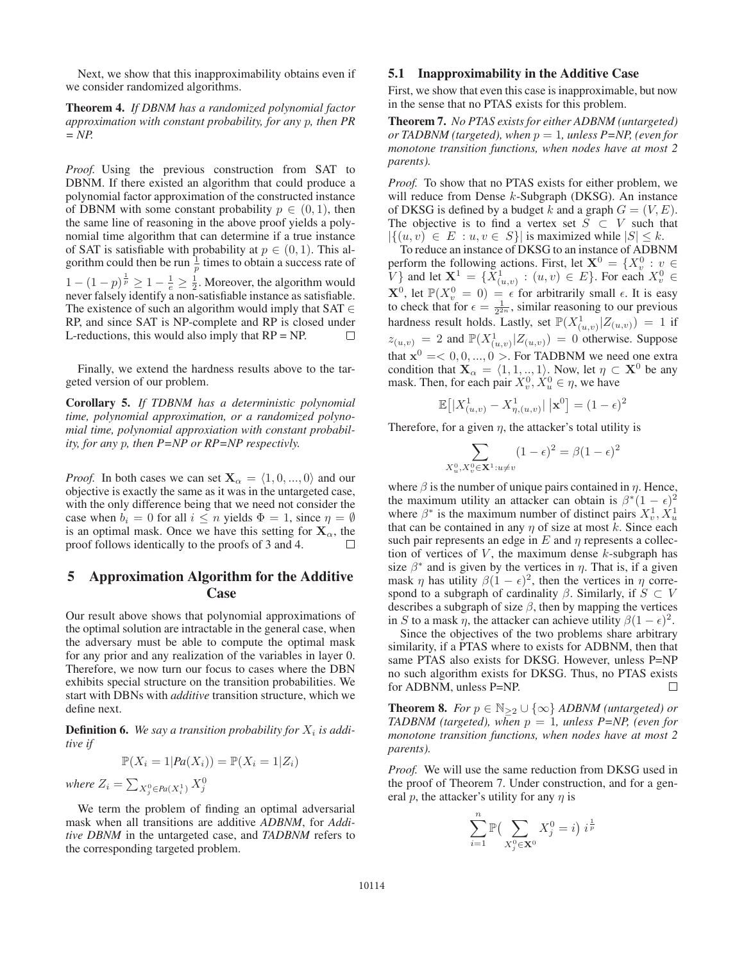Next, we show that this inapproximability obtains even if we consider randomized algorithms.

Theorem 4. *If DBNM has a randomized polynomial factor approximation with constant probability, for any* p*, then PR = NP.*

*Proof.* Using the previous construction from SAT to DBNM. If there existed an algorithm that could produce a polynomial factor approximation of the constructed instance of DBNM with some constant probability  $p \in (0, 1)$ , then the same line of reasoning in the above proof yields a polynomial time algorithm that can determine if a true instance of SAT is satisfiable with probability at  $p \in (0, 1)$ . This algorithm could then be run  $\frac{1}{p}$  times to obtain a success rate of  $1 - (1 - p)^{\frac{1}{p}} \ge 1 - \frac{1}{e} \ge \frac{1}{2}$ . Moreover, the algorithm would never falsely identify a non-satisfiable instance as satisfiable. never falsely identify a non-satisfiable instance as satisfiable. The existence of such an algorithm would imply that  $SAT \in$ RP, and since SAT is NP-complete and RP is closed under L-reductions, this would also imply that  $RP = NP$ .  $\Box$ 

Finally, we extend the hardness results above to the targeted version of our problem.

Corollary 5. *If TDBNM has a deterministic polynomial time, polynomial approximation, or a randomized polynomial time, polynomial approxiation with constant probability, for any* p*, then P=NP or RP=NP respectivly.*

*Proof.* In both cases we can set  $X_\alpha = \langle 1, 0, ..., 0 \rangle$  and our objective is exactly the same as it was in the untargeted case, with the only difference being that we need not consider the case when  $b_i = 0$  for all  $i \leq n$  yields  $\Phi = 1$ , since  $\eta = \emptyset$ is an optimal mask. Once we have this setting for  $X_\alpha$ , the proof follows identically to the proofs of 3 and 4. П

# 5 Approximation Algorithm for the Additive Case

Our result above shows that polynomial approximations of the optimal solution are intractable in the general case, when the adversary must be able to compute the optimal mask for any prior and any realization of the variables in layer 0. Therefore, we now turn our focus to cases where the DBN exhibits special structure on the transition probabilities. We start with DBNs with *additive* transition structure, which we define next.

**Definition 6.** We say a transition probability for  $X_i$  is addi*tive if*

$$
\mathbb{P}(X_i = 1 | Pa(X_i)) = \mathbb{P}(X_i = 1 | Z_i)
$$

where  $Z_i = \sum_{X_j^0 \in Pa(X_i^1)} X_j^0$ 

We term the problem of finding an optimal adversarial mask when all transitions are additive *ADBNM*, for *Additive DBNM* in the untargeted case, and *TADBNM* refers to the corresponding targeted problem.

## 5.1 Inapproximability in the Additive Case

First, we show that even this case is inapproximable, but now in the sense that no PTAS exists for this problem.

Theorem 7. *No PTAS exists for either ADBNM (untargeted) or TADBNM (targeted), when*  $p = 1$ *, unless P=NP, (even for monotone transition functions, when nodes have at most 2 parents).*

*Proof.* To show that no PTAS exists for either problem, we will reduce from Dense  $k$ -Subgraph (DKSG). An instance of DKSG is defined by a budget k and a graph  $G = (V, E)$ . The objective is to find a vertex set  $\overline{S} \subset V$  such that  $|\{(u, v) \in E : u, v \in S\}|$  is maximized while  $|S| \leq k$ .

To reduce an instance of DKSG to an instance of ADBNM perform the following actions. First, let  $X^0 = \{X_v^0 : v \in V\}$  and let  $X^1 = \{X_v^1 : v \in V\}$  For each  $X^0 \in V$ V } and let  $\mathbf{X}^1 = \{X^1_{(u,v)} : (u,v) \in E\}$ . For each  $X^0_v \in \mathbf{Y}^0$  let  $\mathbb{R}^n \times \mathbb{R}^n$  and  $\mathbb{R}^n$  are solutionally small. This again  $X^0$ , let  $\mathbb{P}(X_v^0 = 0) = \epsilon$  for arbitrarily small  $\epsilon$ . It is easy to check that for  $\epsilon = \frac{1}{\epsilon}$  similar reasoning to our previous to check that for  $\epsilon = \frac{1}{2^{2n}}$ , similar reasoning to our previous<br>bardness result holds. Lastly, set  $\mathbb{P}(X^1 \mid Z \rightarrow) = 1$  if hardness result holds. Lastly, set  $\mathbb{P}(X_{(u,v)}^1 | Z_{(u,v)}) = 1$  if  $z_{(u,v)} = 2$  and  $\mathbb{P}(X_{(u,v)}^1 | Z_{(u,v)}) = 0$  otherwise. Suppose that  $\mathbf{x}^0 = 0, 0, ..., 0$  >. For TADBNM we need one extra condition that  $\mathbf{X}_{\alpha} = \langle 1, 1, \dots, 1 \rangle$ . Now, let  $\eta \subset \mathbf{X}^0$  be any mask. Then, for each pair  $X_v^0, X_u^0 \in \eta$ , we have

$$
\mathbb{E}[|X_{(u,v)}^1 - X_{\eta,(u,v)}^1| \,|\mathbf{x}^0] = (1 - \epsilon)^2
$$

Therefore, for a given  $\eta$ , the attacker's total utility is

$$
\sum_{X_u^0, X_v^0 \in \mathbf{X}^1: u \neq v} (1 - \epsilon)^2 = \beta (1 - \epsilon)^2
$$

where  $\beta$  is the number of unique pairs contained in  $\eta$ . Hence, the maximum utility an attacker can obtain is  $\beta^*(1 - \epsilon)^2$ where  $\beta^*$  is the maximum number of distinct pairs  $X_v^1, X_u^1$ that can be contained in any  $\eta$  of size at most k. Since each such pair represents an edge in  $E$  and  $\eta$  represents a collection of vertices of  $V$ , the maximum dense  $k$ -subgraph has size  $\beta^*$  and is given by the vertices in  $\eta$ . That is, if a given mask  $\eta$  has utility  $\beta(1 - \epsilon)^2$ , then the vertices in  $\eta$  correspond to a subgraph of cardinality  $\beta$ . Similarly, if  $S \subset V$ describes a subgraph of size  $\beta$ , then by mapping the vertices in S to a mask  $\eta$ , the attacker can achieve utility  $\beta(1 - \epsilon)^2$ .

Since the objectives of the two problems share arbitrary similarity, if a PTAS where to exists for ADBNM, then that same PTAS also exists for DKSG. However, unless P=NP no such algorithm exists for DKSG. Thus, no PTAS exists for ADBNM, unless P=NP.  $\Box$ 

**Theorem 8.** *For*  $p \in \mathbb{N}_{\geq 2} \cup \{\infty\}$  *ADBNM (untargeted) or TADBNM (targeted), when*  $p = 1$ *, unless P=NP, (even for monotone transition functions, when nodes have at most 2 parents).*

*Proof.* We will use the same reduction from DKSG used in the proof of Theorem 7. Under construction, and for a general p, the attacker's utility for any  $\eta$  is

$$
\sum_{i=1}^{n} \mathbb{P}\left(\sum_{X_j^0 \in \mathbf{X}^0} X_j^0 = i\right) i^{\frac{1}{p}}
$$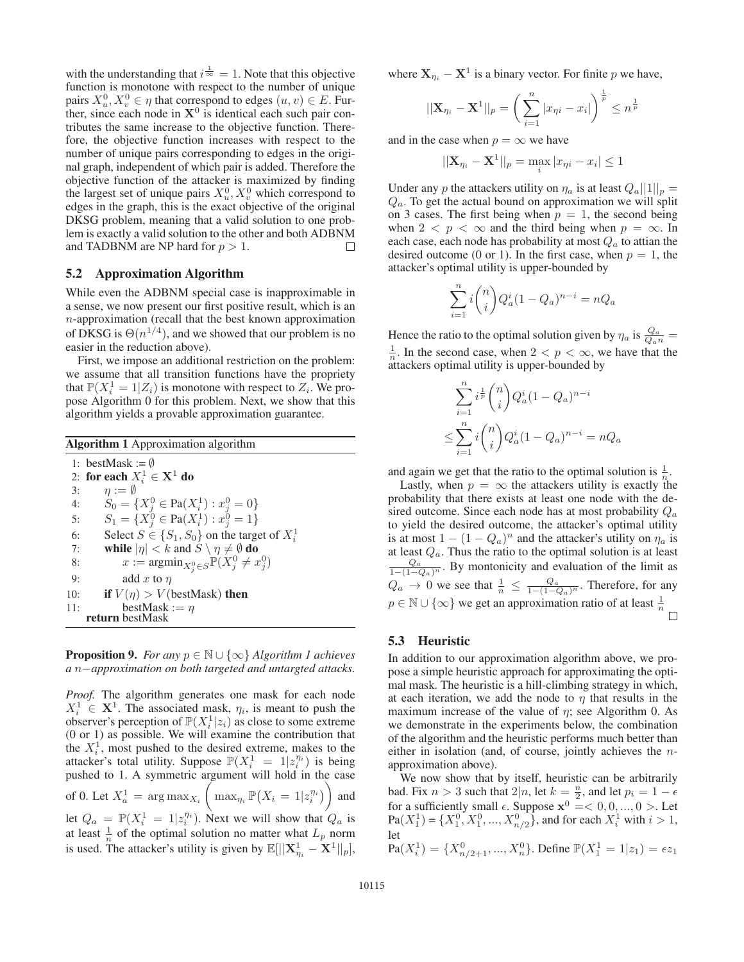with the understanding that  $i \frac{1}{\infty} = 1$ . Note that this objective function is monotone with respect to the number of unique function is monotone with respect to the number of unique pairs  $X_u^0, X_v^0 \in \eta$  that correspond to edges  $(u, v) \in E$ . Fur-<br>ther since each node in  $X^0$  is identical each such pair conther, since each node in  $X^0$  is identical each such pair contributes the same increase to the objective function. Therefore, the objective function increases with respect to the number of unique pairs corresponding to edges in the original graph, independent of which pair is added. Therefore the objective function of the attacker is maximized by finding the largest set of unique pairs  $X_u^0, X_v^0$  which correspond to edges in the graph, this is the exact objective of the original DKSG problem, meaning that a valid solution to one problem is exactly a valid solution to the other and both ADBNM and TADBNM are NP hard for  $p > 1$ .  $\Box$ 

#### 5.2 Approximation Algorithm

While even the ADBNM special case is inapproximable in a sense, we now present our first positive result, which is an n-approximation (recall that the best known approximation of DKSG is  $\Theta(n^{1/4})$ , and we showed that our problem is no easier in the reduction above).

First, we impose an additional restriction on the problem: we assume that all transition functions have the propriety that  $\mathbb{P}(X_i^1 = 1 | Z_i)$  is monotone with respect to  $Z_i$ . We pro-<br>pose Algorithm 0 for this problem. Next, we show that this pose Algorithm 0 for this problem. Next, we show that this algorithm yields a provable approximation guarantee.

Algorithm 1 Approximation algorithm

1: bestMask :=  $\emptyset$ 2: for each  $X_i^1 \in \mathbf{X}^1$  do 3:  $\eta := \emptyset$ <br>4.  $S_0 = \emptyset$ 4:  $S_0 = \{X_j^0 \in \text{Pa}(X_i^1) : x_j^0 = 0\}$ <br>5.  $S = \{Y_j^0 \in \text{Pa}(X_j^1) : x_j^0 = 1\}$ 5:  $S_1 = \{X_j^0 \in \text{Pa}(X_i^1) : x_j^0 = 1\}$ 6: Select  $S \in \{S_1, S_0\}$  on the target of  $X_i^1$ <br>7. while  $|n| \leq k$  and  $S \setminus n \neq \emptyset$  do 7: while  $|\eta| < k$  and  $S \setminus \eta \neq \emptyset$  do <br>8:  $x := \operatorname{argmin}_{S \cup \Omega} \mathbb{P}(X^0 \neq \emptyset)$ 8:  $x := \operatorname{argmin}_{X_j^0 \in S} \mathbb{P}(X_j^0 \neq x_j^0)$ 9: add x to  $\eta$ 10: **if**  $V(\eta) > V(\text{bestMask})$  then<br>11: **bestMask** :=  $\eta$ 11: bestMask :=  $\eta$ <br>return bestMask

**Proposition 9.** *For any*  $p \in \mathbb{N} \cup \{\infty\}$  *Algorithm 1 achieves a* n−*approximation on both targeted and untargted attacks.*

*Proof.* The algorithm generates one mask for each node  $X_i^1 \in \mathbf{X}^1$ . The associated mask,  $\eta_i$ , is meant to push the observer's perception of  $\mathbb{P}(X_i^1 | z_i)$  as close to some extreme (0 or 1) as possible. We will examine the contribution that (0 or 1) as possible. We will examine the contribution that the  $X_i^1$ , most pushed to the desired extreme, makes to the attacker's total utility. Suppose  $\mathbb{P}(X_i^1 = 1 | z_i^n)$  is being nushed to 1. A symmetric argument will hold in the case pushed to 1. A symmetric argument will hold in the case of 0. Let  $X_a^1 = \arg \max_{X_i}$  $\left( \max_{\eta_i} \mathbb{P}\left(X_i = 1 | z_i^{\eta_i}\right) \right)$  and let  $Q_a = \mathbb{P}(X_i^1 = 1 | z_i^n)$ . Next we will show that  $Q_a$  is at least  $\frac{1}{n}$  of the optimal solution no matter what  $L_p$  norm is used. The attacker's utility is given by  $\mathbb{E}[||\mathbf{X}_{\eta_i}^1 - \mathbf{X}^1||_p],$ 

where  $X_{\eta_i} - X^1$  is a binary vector. For finite p we have,

$$
||\mathbf{X}_{\eta_i} - \mathbf{X}^1||_p = \left(\sum_{i=1}^n |x_{\eta i} - x_i|\right)^{\frac{1}{p}} \leq n^{\frac{1}{p}}
$$

and in the case when  $p = \infty$  we have

$$
||\mathbf{X}_{\eta_i} - \mathbf{X}^1||_p = \max_i |x_{\eta i} - x_i| \le 1
$$

Under any p the attackers utility on  $\eta_a$  is at least  $Q_a||1||_p =$  $Q_a$ . To get the actual bound on approximation we will split on 3 cases. The first being when  $p = 1$ , the second being when  $2 < p < \infty$  and the third being when  $p = \infty$ . In each case, each node has probability at most  $Q_a$  to attian the desired outcome (0 or 1). In the first case, when  $p = 1$ , the attacker's optimal utility is upper-bounded by

$$
\sum_{i=1}^{n} i \binom{n}{i} Q_a^i (1 - Q_a)^{n-i} = n Q_a
$$

Hence the ratio to the optimal solution given by  $\eta_a$  is  $\frac{Q_a}{Q_a n} =$  $\frac{1}{n}$ . In the second case, when  $2 < p < \infty$ , we have that the attackers ontimal utility is upper-bounded by attackers optimal utility is upper-bounded by

$$
\sum_{i=1}^{n} i^{\frac{1}{p}} \binom{n}{i} Q_a^i (1 - Q_a)^{n-i}
$$
  

$$
\leq \sum_{i=1}^{n} i \binom{n}{i} Q_a^i (1 - Q_a)^{n-i} = nQ_a
$$

and again we get that the ratio to the optimal solution is  $\frac{1}{n}$ .

Lastly, when  $p = \infty$  the attackers utility is exactly the probability that there exists at least one node with the desired outcome. Since each node has at most probability  $Q_a$ to yield the desired outcome, the attacker's optimal utility is at most  $1 - (1 - Q_a)^n$  and the attacker's utility on  $\eta_a$  is at least  $Q_a$ . Thus the ratio to the optimal solution is at least  $\frac{Q_a}{1-(1-Q_a)^n}$ . By montonicity and evaluation of the limit as  $Q_a \to 0$  we see that  $\frac{1}{n} \leq \frac{Q_a}{1-(1-Q_a)^n}$ . Therefore, for any  $p \in \mathbb{N} \cup \{\infty\}$  we get an approximation ratio of at least  $\frac{1}{n}$  $\Box$ 

## 5.3 Heuristic

In addition to our approximation algorithm above, we propose a simple heuristic approach for approximating the optimal mask. The heuristic is a hill-climbing strategy in which, at each iteration, we add the node to  $\eta$  that results in the maximum increase of the value of  $\eta$ ; see Algorithm 0. As we demonstrate in the experiments below, the combination of the algorithm and the heuristic performs much better than either in isolation (and, of course, jointly achieves the napproximation above).

We now show that by itself, heuristic can be arbitrarily bad. Fix  $n > 3$  such that  $2|n$ , let  $k = \frac{n}{2}$ , and let  $p_i = 1 - \epsilon$ <br>for a sufficiently small  $\epsilon$ . Suppose  $x^0 = \epsilon$  0.0, 0, 5. Let for a sufficiently small  $\epsilon$ . Suppose  $\mathbf{x}^0 = \langle 0, 0, ..., 0 \rangle$ . Let  $\text{Pa}(X^1) = \{X^0, X^0, ..., X^0, \ldots\}$  and for each  $X^1$  with  $i > 1$  $Pa(X_1^1) = \{X_1^0, X_1^0, ..., X_{n/2}^0\}$ , and for each  $X_i^1$  with  $i > 1$ , let

$$
\text{Pa}(X_i^1) = \{X_{n/2+1}^0, ..., X_n^0\}. \text{ Define } \mathbb{P}(X_1^1 = 1|z_1) = \epsilon z_1
$$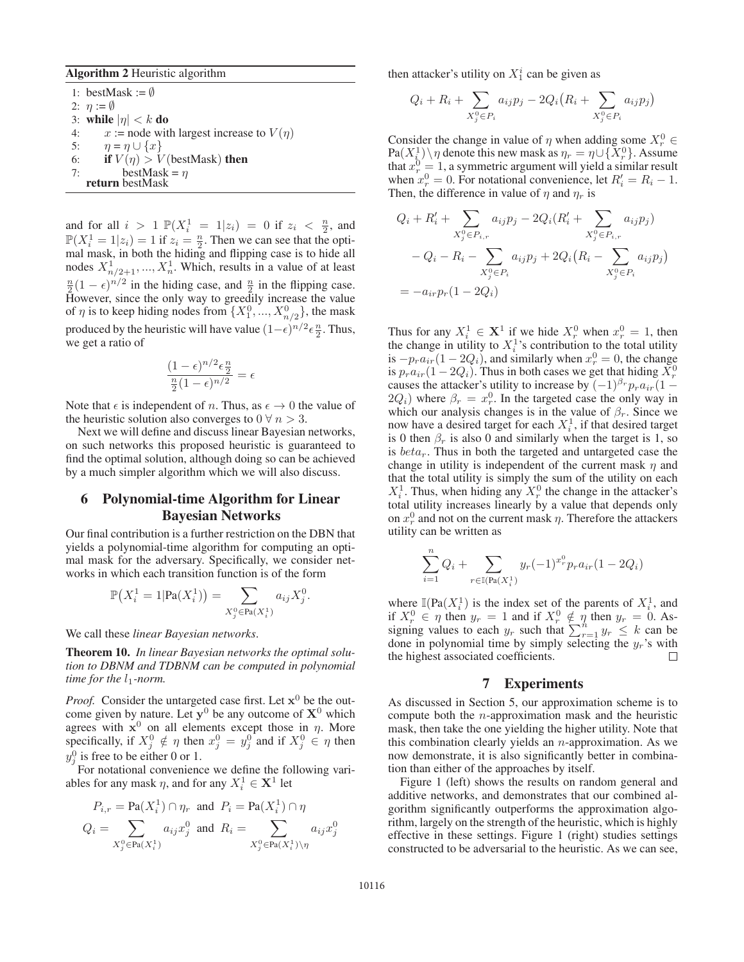#### Algorithm 2 Heuristic algorithm

1: bestMask :=  $\emptyset$ 2:  $\eta := \emptyset$ 3: while  $|\eta| < k$  do 4:  $x := \text{node with largest increase to } V(\eta)$ <br>5:  $\eta = \eta \cup \{x\}$  $\eta = \eta \cup \{x\}$ 6: **if**  $V(\eta) > V$  (bestMask) **then**<br>7: **bestMask** =  $\eta$ bestMask =  $\eta$ return bestMask

and for all  $i > 1 \mathbb{P}(X_i^1 = 1 | z_i) = 0$  if  $z_i < \frac{n}{2}$ , and  $\mathbb{P}(X^1 = 1 | z_i) = 1$  if  $z_i = \frac{n}{2}$ . Then we can see that the opti- $\mathbb{P}(X_i^1 = 1 | z_i) = 1$  if  $z_i = \frac{n}{2}$ . Then we can see that the optimal mask, in both the hiding and flipping case is to hide all mal mask, in both the hiding and flipping case is to hide all nodes  $X_{n/2+1}^1, ..., X_n^1$ . Which, results in a value of at least  $\frac{n}{2}(1-\epsilon)^{n/2}$  in the hiding case, and  $\frac{n}{2}$  in the flipping case.<br>However, since the only way to greedily increase the value However, since the only way to greedily increase the value of  $\eta$  is to keep hiding nodes from  $\{X_1^0, ..., X_{n/2}^0\}$ , the mask produced by the heuristic will have value  $(1 - \epsilon)^{n/2} \epsilon \frac{n}{2}$ . Thus, we get a ratio of we get a ratio of

$$
\frac{(1-\epsilon)^{n/2}\epsilon \frac{n}{2}}{\frac{n}{2}(1-\epsilon)^{n/2}} = \epsilon
$$

Note that  $\epsilon$  is independent of n. Thus, as  $\epsilon \to 0$  the value of the heuristic solution also converges to  $0 \forall n > 3$ .

Next we will define and discuss linear Bayesian networks, on such networks this proposed heuristic is guaranteed to find the optimal solution, although doing so can be achieved by a much simpler algorithm which we will also discuss.

# 6 Polynomial-time Algorithm for Linear Bayesian Networks

Our final contribution is a further restriction on the DBN that yields a polynomial-time algorithm for computing an optimal mask for the adversary. Specifically, we consider networks in which each transition function is of the form

$$
\mathbb{P}(X_i^1 = 1 | \text{Pa}(X_i^1)) = \sum_{X_j^0 \in \text{Pa}(X_i^1)} a_{ij} X_j^0.
$$

We call these *linear Bayesian networks*.

Theorem 10. *In linear Bayesian networks the optimal solution to DBNM and TDBNM can be computed in polynomial time for the*  $l_1$ *-norm.* 

*Proof.* Consider the untargeted case first. Let **x**<sup>0</sup> be the outcome given by nature. Let  $y^0$  be any outcome of  $X^0$  which agrees with  $x^0$  on all elements except those in  $\eta$ . More specifically, if  $X_j^0 \notin \eta$  then  $x_j^0 = y_j^0$  and if  $X_j^0 \in \eta$  then  $y_j^0$  is free to be either 0 or 1.

For notational convenience we define the following variables for any mask  $\eta$ , and for any  $X_i^1 \in \mathbf{X}^1$  let

$$
P_{i,r} = \text{Pa}(X_i^1) \cap \eta_r \text{ and } P_i = \text{Pa}(X_i^1) \cap \eta
$$
  

$$
Q_i = \sum_{X_j^0 \in \text{Pa}(X_i^1)} a_{ij} x_j^0 \text{ and } R_i = \sum_{X_j^0 \in \text{Pa}(X_i^1) \setminus \eta} a_{ij} x_j^0
$$

then attacker's utility on  $X_1^i$  can be given as

$$
Q_i + R_i + \sum_{X_j^0 \in P_i} a_{ij} p_j - 2Q_i (R_i + \sum_{X_j^0 \in P_i} a_{ij} p_j)
$$

Consider the change in value of  $\eta$  when adding some  $X_r^0 \in$  $\text{Pa}(X_i^1) \setminus \eta$  denote this new mask as  $\eta_r = \eta \cup \{X_r^0\}$ . Assume that  $r^0 = 1$  a symmetric argument will vield a similar result that  $x_r^0 = 1$ , a symmetric argument will yield a similar result<br>when  $x^0 = 0$ . For notational convenience, let  $B' = B_1 - 1$ . when  $x_i^0 = 0$ . For notational convenience, let  $R'_i = R_i - 1$ .<br>Then the difference in value of *n* and *n*, is Then, the difference in value of  $\eta$  and  $\eta_r$  is

$$
Q_i + R'_i + \sum_{X_j^0 \in P_{i,r}} a_{ij} p_j - 2Q_i (R'_i + \sum_{X_j^0 \in P_{i,r}} a_{ij} p_j)
$$
  
-  $Q_i - R_i - \sum_{X_j^0 \in P_i} a_{ij} p_j + 2Q_i (R_i - \sum_{X_j^0 \in P_i} a_{ij} p_j)$   
=  $-a_{ir} p_r (1 - 2Q_i)$ 

Thus for any  $X_i^1 \in \mathbf{X}^1$  if we hide  $X_i^0$  when  $x_i^0 = 1$ , then the change in utility to  $X_i^1$ 's contribution to the total utility the change in utility to  $X_i^1$ 's contribution to the total utility is  $-p_r a_{ir} (1 - 2Q_i)$ , and similarly when  $x_r^0 = 0$ , the change<br>is  $n_r a_{ir} (1 - 2Q_i)$ . Thus in both cases we get that hiding  $X^0$ is  $p_r a_{ir} (1 - 2Q_i)$ . Thus in both cases we get that hiding  $X_r^0$ <br>causes the attacker's utility to increase by  $(-1)^{\beta_r} n_r a_{ir} (1$ causes the attacker's utility to increase by  $(-1)^{\beta_r} p_r a_{ir} (1 2Q_i$ ) where  $\beta_r = x_r^0$ . In the targeted case the only way in which our analysis changes is in the value of  $\beta_r$ . Since we which our analysis changes is in the value of  $\beta_r$ . Since we now have a desired target for each  $X_i^1$ , if that desired target is 0 then  $\beta_r$  is also 0 and similarly when the target is 1, so is  $beta_r$ . Thus in both the targeted and untargeted case the change in utility is independent of the current mask  $\eta$  and that the total utility is simply the sum of the utility on each  $X_i^1$ . Thus, when hiding any  $X_r^0$  the change in the attacker's total utility increases linearly by a value that depends only on  $x_r^0$  and not on the current mask  $\eta$ . Therefore the attackers utility can be written as

$$
\sum_{i=1}^{N} Q_i + \sum_{r \in \mathbb{I}(\text{Pa}(X_i^1))} y_r(-1)^{x_r^0} p_r a_{ir} (1 - 2Q_i)
$$

 $\overline{r}$ 

where  $\mathbb{I}(\text{Pa}(X_i^1))$  is the index set of the parents of  $X_i^1$ , and if  $X^0 \in n$  then  $y_n = 1$  and if  $X^0 \notin n$  then  $y_n = 0$ . Asif  $X_r^0 \in \eta$  then  $y_r = 1$  and if  $X_r^0 \notin \eta$  then  $y_r = 0$ . Assigning values to each  $y_r$  such that  $\sum_{r=1}^n y_r \leq k$  can be done in polynomial time by simply selecting the  $u$ 's with done in polynomial time by simply selecting the  $y_r$ 's with the highest associated coefficients. □

### 7 Experiments

As discussed in Section 5, our approximation scheme is to compute both the  $n$ -approximation mask and the heuristic mask, then take the one yielding the higher utility. Note that this combination clearly yields an  $n$ -approximation. As we now demonstrate, it is also significantly better in combination than either of the approaches by itself.

Figure 1 (left) shows the results on random general and additive networks, and demonstrates that our combined algorithm significantly outperforms the approximation algorithm, largely on the strength of the heuristic, which is highly effective in these settings. Figure 1 (right) studies settings constructed to be adversarial to the heuristic. As we can see,